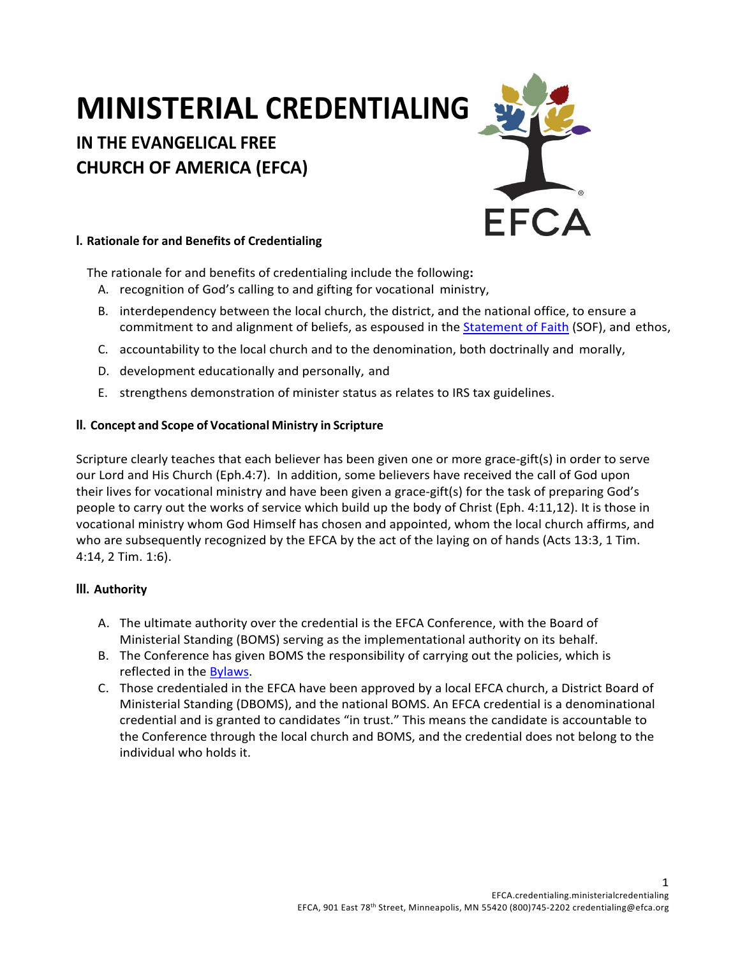# **MINISTERIAL CREDENTIALING**

## **IN THE EVANGELICAL FREE CHURCH OF AMERICA (EFCA)**



#### **I. Rationale for and Benefits of Credentialing**

The rationale for and benefits of credentialing include the following**:**

- A. recognition of God's calling to and gifting for vocational ministry,
- B. interdependency between the local church, the district, and the national office, to ensure a commitment to and alignment of beliefs, as espoused in the Statement of Faith (SOF), and ethos,
- C. accountability to the local church and to the denomination, both doctrinally and morally,
- D. development educationally and personally, and
- E. strengthens demonstration of minister status as relates to IRS tax guidelines.

### **II. Concept and Scope of Vocational Ministry in Scripture**

Scripture clearly teaches that each believer has been given one or more grace-gift(s) in order to serve our Lord and His Church (Eph.4:7). In addition, some believers have received the call of God upon their lives for vocational ministry and have been given a grace-gift(s) for the task of preparing God's people to carry out the works of service which build up the body of Christ (Eph. 4:11,12). It is those in vocational ministry whom God Himself has chosen and appointed, whom the local church affirms, and who are subsequently recognized by the EFCA by the act of the laying on of hands (Acts 13:3, 1 Tim. 4:14, 2 Tim. 1:6).

### **III. Authority**

- A. The ultimate authority over the credential is the EFCA Conference, with the Board of Ministerial Standing (BOMS) serving as the implementational authority on its behalf.
- B. The Conference has given BOMS the responsibility of carrying out the policies, which is reflected in the Bylaws.
- C. Those credentialed in the EFCA have been approved by a local EFCA church, a District Board of Ministerial Standing (DBOMS), and the national BOMS. An EFCA credential is a denominational credential and is granted to candidates "in trust." This means the candidate is accountable to the Conference through the local church and BOMS, and the credential does not belong to the individual who holds it.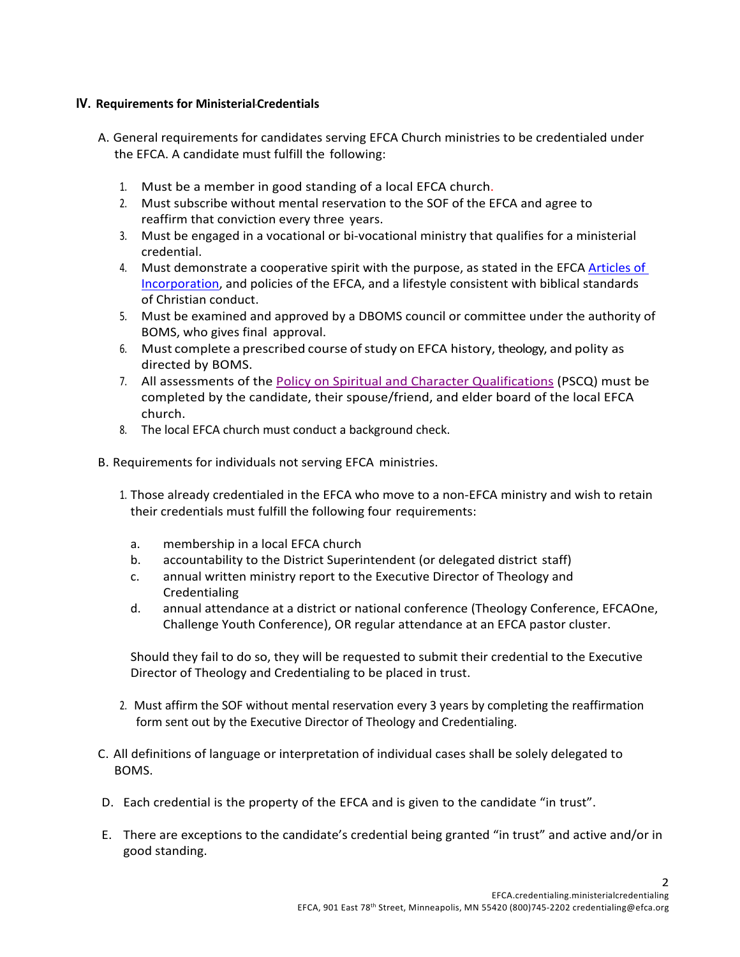#### **IV. Requirements for MinisterialCredentials**

- A. General requirements for candidates serving EFCA Church ministries to be credentialed under the EFCA. A candidate must fulfill the following:
	- 1. Must be a member in good standing of a local EFCA church.
	- 2. Must subscribe without mental reservation to the SOF of the EFCA and agree to reaffirm that conviction every three years.
	- 3. Must be engaged in a vocational or bi-vocational ministry that qualifies for a ministerial credential.
	- 4. Must demonstrate a cooperative spirit with the purpose, as stated in the EFCA Articles of Incorporation, and policies of the EFCA, and a lifestyle consistent with biblical standards of Christian conduct.
	- 5. Must be examined and approved by a DBOMS council or committee under the authority of BOMS, who gives final approval.
	- 6. Must complete a prescribed course ofstudy on EFCA history, theology, and polity as directed by BOMS.
	- 7. All assessments of the Policy on Spiritual and Character Qualifications (PSCQ) must be completed by the candidate, their spouse/friend, and elder board of the local EFCA church.
	- 8. The local EFCA church must conduct a background check.
- B. Requirements for individuals not serving EFCA ministries.
	- 1. Those already credentialed in the EFCA who move to a non-EFCA ministry and wish to retain their credentials must fulfill the following four requirements:
		- a. membership in a local EFCA church
		- b. accountability to the District Superintendent (or delegated district staff)
		- c. annual written ministry report to the Executive Director of Theology and Credentialing
		- d. annual attendance at a district or national conference (Theology Conference, EFCAOne, Challenge Youth Conference), OR regular attendance at an EFCA pastor cluster.

Should they fail to do so, they will be requested to submit their credential to the Executive Director of Theology and Credentialing to be placed in trust.

- 2. Must affirm the SOF without mental reservation every 3 years by completing the reaffirmation form sent out by the Executive Director of Theology and Credentialing.
- C. All definitions of language or interpretation of individual cases shall be solely delegated to BOMS.
- D. Each credential is the property of the EFCA and is given to the candidate "in trust".
- E. There are exceptions to the candidate's credential being granted "in trust" and active and/or in good standing.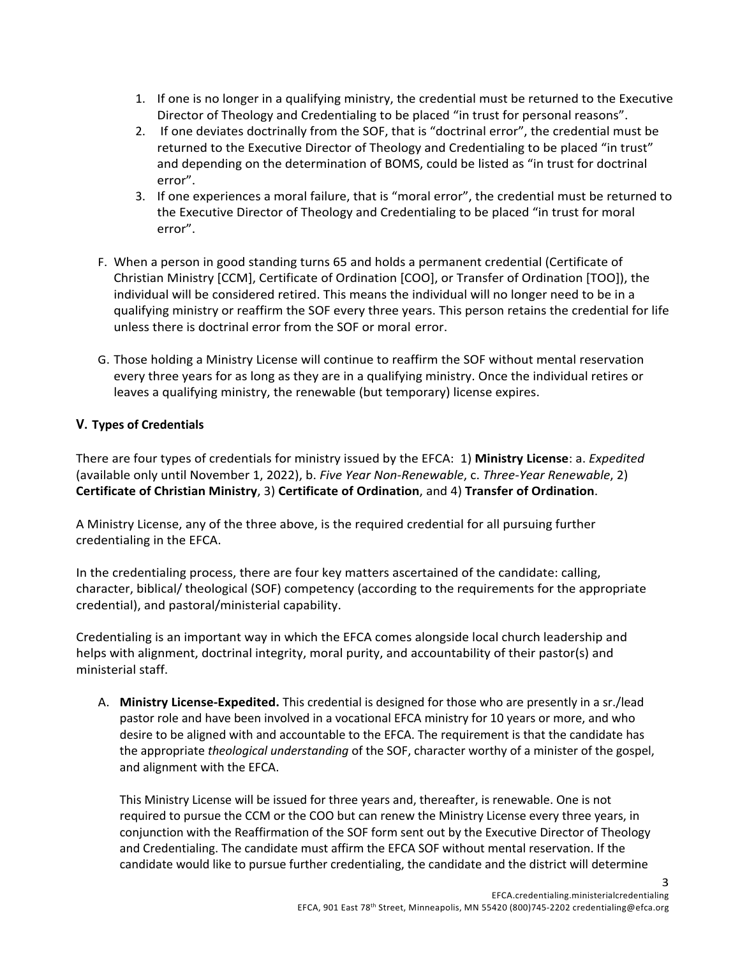- 1. If one is no longer in a qualifying ministry, the credential must be returned to the Executive Director of Theology and Credentialing to be placed "in trust for personal reasons".
- 2. If one deviates doctrinally from the SOF, that is "doctrinal error", the credential must be returned to the Executive Director of Theology and Credentialing to be placed "in trust" and depending on the determination of BOMS, could be listed as "in trust for doctrinal error".
- 3. If one experiences a moral failure, that is "moral error", the credential must be returned to the Executive Director of Theology and Credentialing to be placed "in trust for moral error".
- F. When a person in good standing turns 65 and holds a permanent credential (Certificate of Christian Ministry [CCM], Certificate of Ordination [COO], or Transfer of Ordination [TOO]), the individual will be considered retired. This means the individual will no longer need to be in a qualifying ministry or reaffirm the SOF every three years. This person retains the credential for life unless there is doctrinal error from the SOF or moral error.
- G. Those holding a Ministry License will continue to reaffirm the SOF without mental reservation every three years for as long as they are in a qualifying ministry. Once the individual retires or leaves a qualifying ministry, the renewable (but temporary) license expires.

#### **V. Types of Credentials**

There are four types of credentials for ministry issued by the EFCA: 1) **Ministry License**: a. *Expedited*  (available only until November 1, 2022), b. *Five Year Non-Renewable*, c. *Three-Year Renewable*, 2) **Certificate of Christian Ministry**, 3) **Certificate of Ordination**, and 4) **Transfer of Ordination**.

A Ministry License, any of the three above, is the required credential for all pursuing further credentialing in the EFCA.

In the credentialing process, there are four key matters ascertained of the candidate: calling, character, biblical/ theological (SOF) competency (according to the requirements for the appropriate credential), and pastoral/ministerial capability.

Credentialing is an important way in which the EFCA comes alongside local church leadership and helps with alignment, doctrinal integrity, moral purity, and accountability of their pastor(s) and ministerial staff.

A. **Ministry License-Expedited.** This credential is designed for those who are presently in a sr./lead pastor role and have been involved in a vocational EFCA ministry for 10 years or more, and who desire to be aligned with and accountable to the EFCA. The requirement is that the candidate has the appropriate *theological understanding* of the SOF, character worthy of a minister of the gospel, and alignment with the EFCA.

This Ministry License will be issued for three years and, thereafter, is renewable. One is not required to pursue the CCM or the COO but can renew the Ministry License every three years, in conjunction with the Reaffirmation of the SOF form sent out by the Executive Director of Theology and Credentialing. The candidate must affirm the EFCA SOF without mental reservation. If the candidate would like to pursue further credentialing, the candidate and the district will determine

3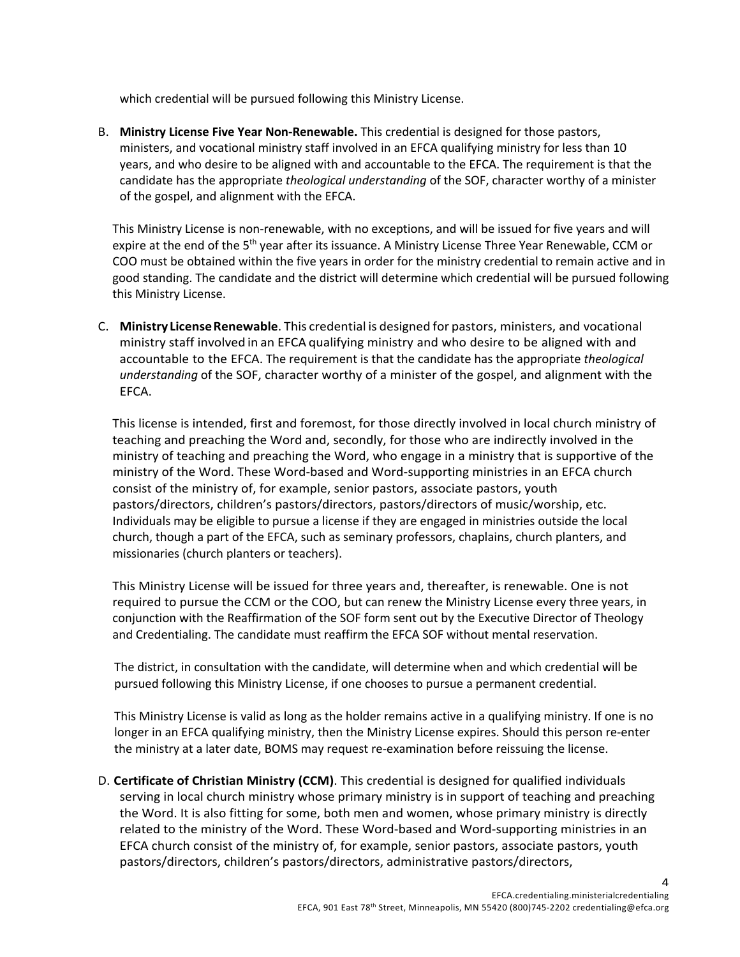which credential will be pursued following this Ministry License.

B. **Ministry License Five Year Non-Renewable.** This credential is designed for those pastors, ministers, and vocational ministry staff involved in an EFCA qualifying ministry for less than 10 years, and who desire to be aligned with and accountable to the EFCA. The requirement is that the candidate has the appropriate *theological understanding* of the SOF, character worthy of a minister of the gospel, and alignment with the EFCA.

This Ministry License is non-renewable, with no exceptions, and will be issued for five years and will expire at the end of the 5<sup>th</sup> year after its issuance. A Ministry License Three Year Renewable, CCM or COO must be obtained within the five years in order for the ministry credential to remain active and in good standing. The candidate and the district will determine which credential will be pursued following this Ministry License.

C. **MinistryLicenseRenewable**. This credential is designed for pastors, ministers, and vocational ministry staff involved in an EFCA qualifying ministry and who desire to be aligned with and accountable to the EFCA. The requirement is that the candidate has the appropriate *theological understanding* of the SOF, character worthy of a minister of the gospel, and alignment with the EFCA.

This license is intended, first and foremost, for those directly involved in local church ministry of teaching and preaching the Word and, secondly, for those who are indirectly involved in the ministry of teaching and preaching the Word, who engage in a ministry that is supportive of the ministry of the Word. These Word-based and Word-supporting ministries in an EFCA church consist of the ministry of, for example, senior pastors, associate pastors, youth pastors/directors, children's pastors/directors, pastors/directors of music/worship, etc. Individuals may be eligible to pursue a license if they are engaged in ministries outside the local church, though a part of the EFCA, such as seminary professors, chaplains, church planters, and missionaries (church planters or teachers).

This Ministry License will be issued for three years and, thereafter, is renewable. One is not required to pursue the CCM or the COO, but can renew the Ministry License every three years, in conjunction with the Reaffirmation of the SOF form sent out by the Executive Director of Theology and Credentialing. The candidate must reaffirm the EFCA SOF without mental reservation.

The district, in consultation with the candidate, will determine when and which credential will be pursued following this Ministry License, if one chooses to pursue a permanent credential.

This Ministry License is valid as long as the holder remains active in a qualifying ministry. If one is no longer in an EFCA qualifying ministry, then the Ministry License expires. Should this person re-enter the ministry at a later date, BOMS may request re-examination before reissuing the license.

D. **Certificate of Christian Ministry (CCM)**. This credential is designed for qualified individuals serving in local church ministry whose primary ministry is in support of teaching and preaching the Word. It is also fitting for some, both men and women, whose primary ministry is directly related to the ministry of the Word. These Word-based and Word-supporting ministries in an EFCA church consist of the ministry of, for example, senior pastors, associate pastors, youth pastors/directors, children's pastors/directors, administrative pastors/directors,

4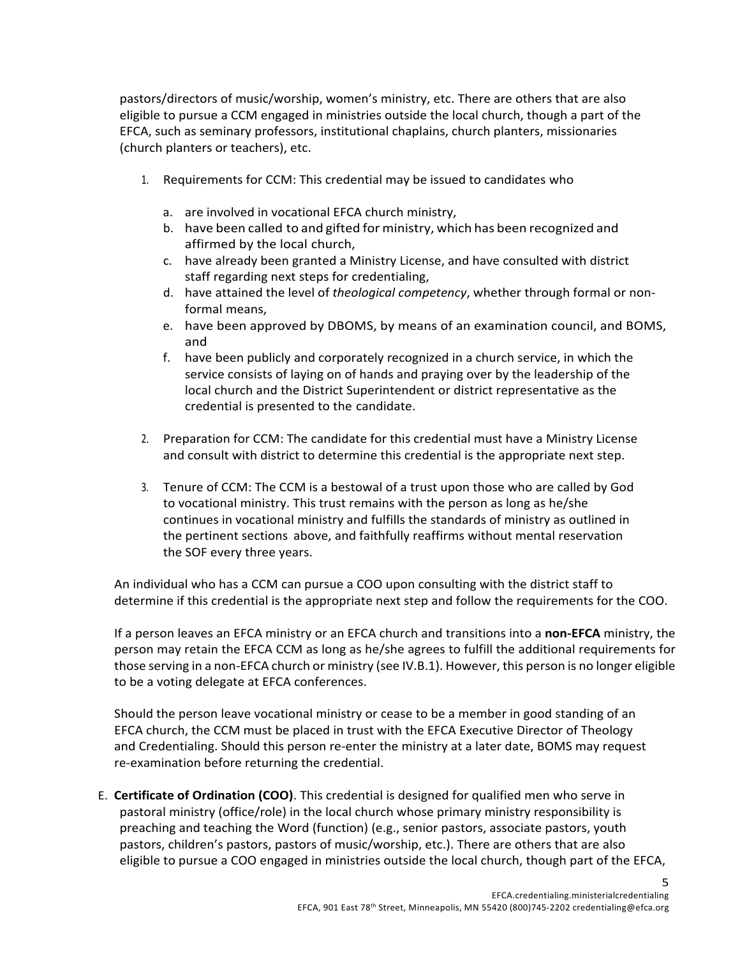pastors/directors of music/worship, women's ministry, etc. There are others that are also eligible to pursue a CCM engaged in ministries outside the local church, though a part of the EFCA, such as seminary professors, institutional chaplains, church planters, missionaries (church planters or teachers), etc.

- 1. Requirements for CCM: This credential may be issued to candidates who
	- a. are involved in vocational EFCA church ministry,
	- b. have been called to and gifted for ministry, which has been recognized and affirmed by the local church,
	- c. have already been granted a Ministry License, and have consulted with district staff regarding next steps for credentialing,
	- d. have attained the level of *theological competency*, whether through formal or nonformal means,
	- e. have been approved by DBOMS, by means of an examination council, and BOMS, and
	- f. have been publicly and corporately recognized in a church service, in which the service consists of laying on of hands and praying over by the leadership of the local church and the District Superintendent or district representative as the credential is presented to the candidate.
- 2. Preparation for CCM: The candidate for this credential must have a Ministry License and consult with district to determine this credential is the appropriate next step.
- 3. Tenure of CCM: The CCM is a bestowal of a trust upon those who are called by God to vocational ministry. This trust remains with the person as long as he/she continues in vocational ministry and fulfills the standards of ministry as outlined in the pertinent sections above, and faithfully reaffirms without mental reservation the SOF every three years.

An individual who has a CCM can pursue a COO upon consulting with the district staff to determine if this credential is the appropriate next step and follow the requirements for the COO.

If a person leaves an EFCA ministry or an EFCA church and transitions into a **non-EFCA** ministry, the person may retain the EFCA CCM as long as he/she agrees to fulfill the additional requirements for those serving in a non-EFCA church or ministry (see IV.B.1). However, this person is no longer eligible to be a voting delegate at EFCA conferences.

Should the person leave vocational ministry or cease to be a member in good standing of an EFCA church, the CCM must be placed in trust with the EFCA Executive Director of Theology and Credentialing. Should this person re-enter the ministry at a later date, BOMS may request re-examination before returning the credential.

E. **Certificate of Ordination (COO)**. This credential is designed for qualified men who serve in pastoral ministry (office/role) in the local church whose primary ministry responsibility is preaching and teaching the Word (function) (e.g., senior pastors, associate pastors, youth pastors, children's pastors, pastors of music/worship, etc.). There are others that are also eligible to pursue a COO engaged in ministries outside the local church, though part of the EFCA,

5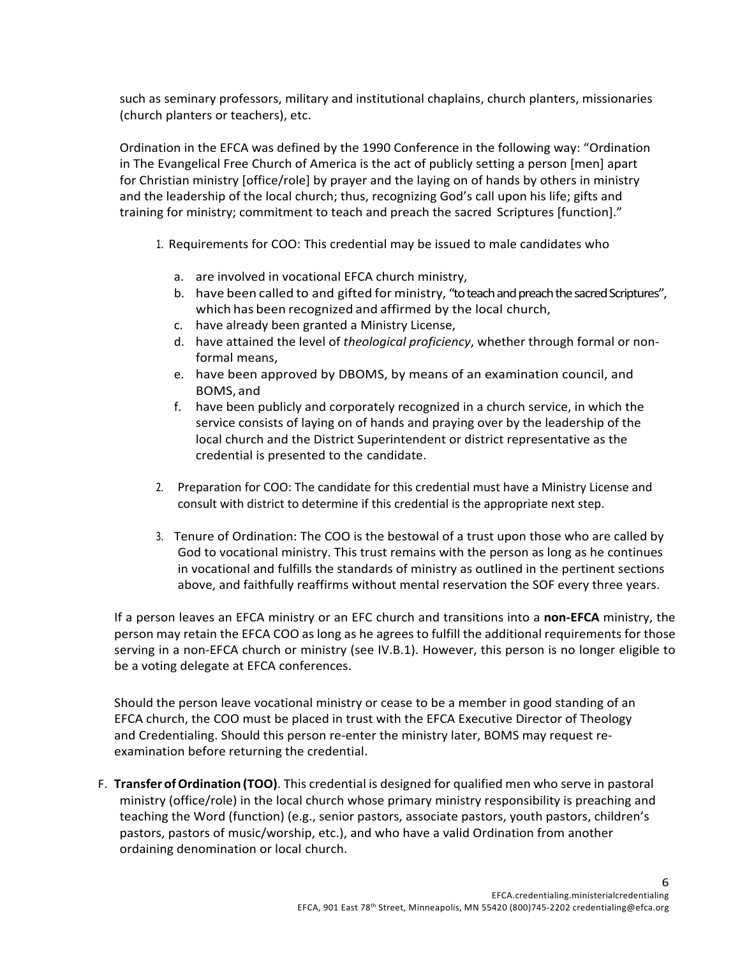such as seminary professors, military and institutional chaplains, church planters, missionaries (church planters or teachers), etc.

Ordination in the EFCA was defined by the 1990 Conference in the following way: "Ordination in The Evangelical Free Church of America is the act of publicly setting a person [men] apart for Christian ministry [office/role] by prayer and the laying on of hands by others in ministry and the leadership of the local church; thus, recognizing God's call upon his life; gifts and training for ministry; commitment to teach and preach the sacred Scriptures [function]."

- 1. Requirements for COO: This credential may be issued to male candidates who
	- a. are involved in vocational EFCA church ministry,
	- b. have been called to and gifted for ministry, "to teach and preach the sacred Scriptures", which has been recognized and affirmed by the local church,
	- c. have already been granted a Ministry License,
	- d. have attained the level of *theological proficiency*, whether through formal or nonformal means,
	- e. have been approved by DBOMS, by means of an examination council, and BOMS, and
	- f. have been publicly and corporately recognized in a church service, in which the service consists of laying on of hands and praying over by the leadership of the local church and the District Superintendent or district representative as the credential is presented to the candidate.
- 2. Preparation for COO: The candidate for this credential must have a Ministry License and consult with district to determine if this credential is the appropriate next step.
- 3. Tenure of Ordination: The COO is the bestowal of a trust upon those who are called by God to vocational ministry. This trust remains with the person as long as he continues in vocational and fulfills the standards of ministry as outlined in the pertinent sections above, and faithfully reaffirms without mental reservation the SOF every three years.

If a person leaves an EFCA ministry or an EFC church and transitions into a **non-EFCA** ministry, the person may retain the EFCA COO as long as he agrees to fulfill the additional requirements for those serving in a non-EFCA church or ministry (see IV.B.1). However, this person is no longer eligible to be a voting delegate at EFCA conferences.

Should the person leave vocational ministry or cease to be a member in good standing of an EFCA church, the COO must be placed in trust with the EFCA Executive Director of Theology and Credentialing. Should this person re-enter the ministry later, BOMS may request reexamination before returning the credential.

F. **TransferofOrdination (TOO)**. This credential is designed for qualified men who serve in pastoral ministry (office/role) in the local church whose primary ministry responsibility is preaching and teaching the Word (function) (e.g., senior pastors, associate pastors, youth pastors, children's pastors, pastors of music/worship, etc.), and who have a valid Ordination from another ordaining denomination or local church.